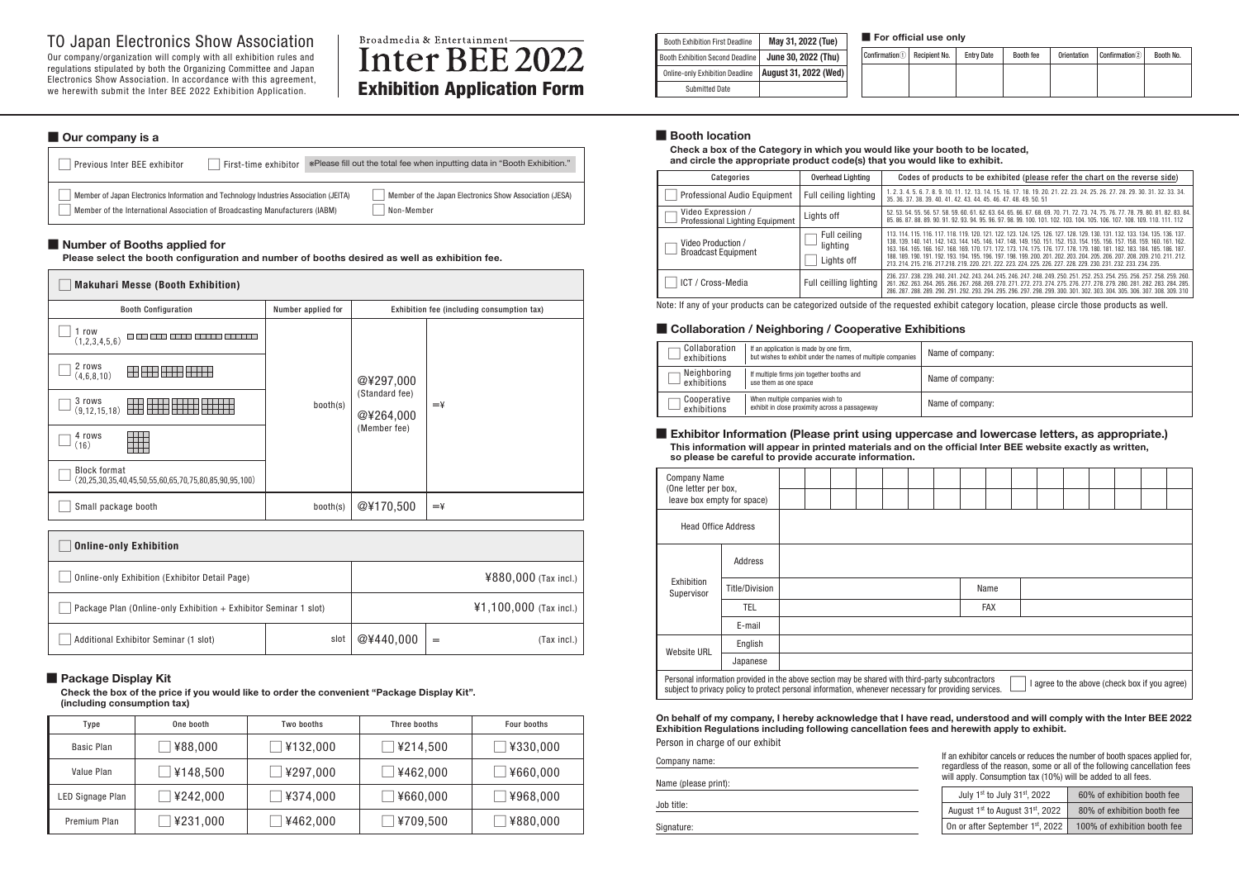| <b>Booth Exhibition First Deadline</b>  | May 31, 2022 (Tue)    | For      |
|-----------------------------------------|-----------------------|----------|
| <b>Booth Exhibition Second Deadline</b> | June 30, 2022 (Thu)   | Confirma |
| <b>Online-only Exhibition Deadline</b>  | August 31, 2022 (Wed) |          |
| <b>Submitted Date</b>                   |                       |          |

 $\mathsf{ation} \textcircled{\textsc{1}}$  Recipient N

Our company/organization will comply with all exhibition rules and regulations stipulated by both the Organizing Committee and Japan Electronics Show Association. In accordance with this agreement, we herewith submit the Inter BEE 2022 Exhibition Application.

# Broadmedia & Entertainment-Inter BEE 2022 **Exhibition Application Form**

| <b>Online-only Exhibition</b>                                    |      |           |                          |             |
|------------------------------------------------------------------|------|-----------|--------------------------|-------------|
| Online-only Exhibition (Exhibitor Detail Page)                   |      |           | ¥880,000 (Tax incl.)     |             |
| Package Plan (Online-only Exhibition + Exhibitor Seminar 1 slot) |      |           | $41,100,000$ (Tax incl.) |             |
| Additional Exhibitor Seminar (1 slot)                            | slot | @¥440,000 | =                        | (Tax incl.) |

## TO Japan Electronics Show Association

### **■ Our company is a**

| Previous Inter BEE exhibitor                                                                                                                                                        | First-time exhibitor | *Please fill out the total fee when inputting data in "Booth Exhibition." |
|-------------------------------------------------------------------------------------------------------------------------------------------------------------------------------------|----------------------|---------------------------------------------------------------------------|
| Member of Japan Electronics Information and Technology Industries Association (JEITA)<br>$^{\text{!}}$ Member of the International Association of Broadcasting Manufacturers (IABM) |                      | Member of the Japan Electronics Show Association (JESA)<br>Non-Member     |

### ■ **Number of Booths applied for**

**Check a box of the Category in which you would like your booth to be located, and circle the appropriate product code(s) that you would like to exhibit.**

**Please select the booth configuration and number of booths desired as well as exhibition fee.** 

| <b>Makuhari Messe (Booth Exhibition)</b>                                                       |                    |                             |                                            |  |  |
|------------------------------------------------------------------------------------------------|--------------------|-----------------------------|--------------------------------------------|--|--|
| <b>Booth Configuration</b>                                                                     | Number applied for |                             | Exhibition fee (including consumption tax) |  |  |
| 1 row<br>$\Box$ [<br>(1,2,3,4,5,6)                                                             |                    |                             |                                            |  |  |
| 2 rows<br>HH HH H<br>(4,6,8,10)                                                                |                    | @¥297,000                   |                                            |  |  |
| 3 rows<br>(9, 12, 15, 18)                                                                      | booth(s)           | (Standard fee)<br>@¥264,000 | $=\n 4$                                    |  |  |
| 4 rows<br>(16)                                                                                 |                    | (Member fee)                |                                            |  |  |
| <b>Block format</b><br>$(20, 25, 30, 35, 40, 45, 50, 55, 60, 65, 70, 75, 80, 85, 90, 95, 100)$ |                    |                             |                                            |  |  |
| Small package booth                                                                            | booth(s)           | @¥170,500                   | $=\frac{y}{x}$                             |  |  |

### **■ Package Display Kit**

**Check the box of the price if you would like to order the convenient "Package Display Kit". (including consumption tax)**

### ■ **Exhibitor Information (Please print using uppercase and lowercase letters, as appropriate.) This information will appear in printed materials and on the official Inter BEE website exactly as written,**

| Type             | One booth | Two booths | Three booths | Four booths |
|------------------|-----------|------------|--------------|-------------|
| Basic Plan       | ¥88,000   | ¥132,000   | ¥214,500     | ¥330,000    |
| Value Plan       | ¥148,500  | ¥297,000   | ¥462,000     | ¥660,000    |
| LED Signage Plan | ¥242,000  | ¥374,000   | ¥660,000     | ¥968,000    |
| Premium Plan     | ¥231,000  | ¥462,000   | ¥709,500     | ¥880,000    |

### ■ **Booth location**

Note: If any of your products can be categorized outside of the requested exhibit category location, please circle those products as well.

### ■ Collaboration / Neighboring / Cooperative Exhibitions

| Categories                                            | Overhead Lighting                      | Codes of products to be exhibited (please refer the chart on the reverse side)                                                                                                                                                                                                                                                                                                                                                                                                                                             |
|-------------------------------------------------------|----------------------------------------|----------------------------------------------------------------------------------------------------------------------------------------------------------------------------------------------------------------------------------------------------------------------------------------------------------------------------------------------------------------------------------------------------------------------------------------------------------------------------------------------------------------------------|
| Professional Audio Equipment                          | Full ceiling lighting                  | 1, 2, 3, 4, 5, 6, 7, 8, 9, 10, 11, 12, 13, 14, 15, 16, 17, 18, 19, 20, 21, 22, 23, 24, 25, 26, 27, 28, 29, 30, 31, 32, 33, 34,<br>35, 36, 37, 38, 39, 40, 41, 42, 43, 44, 45, 46, 47, 48, 49, 50, 51                                                                                                                                                                                                                                                                                                                       |
| Video Expression /<br>Professional Lighting Equipment | Lights off                             | 52, 53, 54, 55, 56, 57, 58, 59, 60, 61, 62, 63, 64, 65, 66, 67, 68, 69, 70, 71, 72, 73, 74, 75, 76, 77, 78, 79, 80, 81, 82, 83, 84,<br>85, 86, 87, 88, 89, 90, 91, 92, 93, 94, 95, 96, 97, 98, 99, 100, 101, 102, 103, 104, 105, 106, 107, 108, 109, 110, 111, 112                                                                                                                                                                                                                                                         |
| Video Production /<br>Broadcast Equipment             | Full ceiling<br>lighting<br>Lights off | 113, 114, 115, 116, 117, 118, 119, 120, 121, 122, 123, 124, 125, 126, 127, 128, 129, 130, 131, 132, 133, 134, 135, 136, 137,<br>138, 139, 140, 141, 142, 143, 144, 145, 146, 147, 148, 149, 150, 151, 152, 153, 154, 155, 156, 157, 158, 159, 160, 161, 162<br>163, 164, 165, 166, 167, 168, 169, 170, 171, 172, 173, 174, 175, 176, 177, 178, 179, 180, 181, 182, 183, 184, 185, 186, 187<br>188, 189, 190, 191, 192, 193, 194, 195, 196, 197, 198, 199, 200, 201, 202, 203, 204, 205, 206, 207, 208, 209, 210, 211, 212, |
|                                                       |                                        | 213, 214, 215, 216, 217, 218, 219, 220, 221, 222, 223, 224, 225, 226, 227, 228, 229, 230, 231, 232, 233, 234, 235,                                                                                                                                                                                                                                                                                                                                                                                                         |
| ICT / Cross-Media                                     | Full ceilling lighting                 | 236, 237, 238, 239, 240, 241, 242, 243, 244, 245, 246, 247, 248, 249, 250, 251, 252, 253, 254, 255, 256, 257, 258, 259, 260,<br>261, 262, 263, 264, 265, 266, 267, 268, 269, 270, 271, 272, 273, 274, 275, 276, 277, 278, 279, 280, 281, 282, 283, 284, 285,<br>286, 287, 288, 289, 290, 291, 292, 293, 294, 295, 296, 297, 298, 299, 300, 301, 302, 303, 304, 305, 306, 307, 308, 309, 310                                                                                                                                |

| Collaboration<br>exhibitions | If an application is made by one firm,<br>but wishes to exhibit under the names of multiple companies | Nam |
|------------------------------|-------------------------------------------------------------------------------------------------------|-----|
| Neighboring<br>exhibitions   | If multiple firms join together booths and<br>use them as one space                                   | Nam |
| Cooperative<br>exhibitions   | When multiple companies wish to<br>exhibit in close proximity across a passageway                     | Nam |

**■ For official use only**

| lo. | <b>Entry Date</b> | Booth fee | <b>Orientation</b> | Confirmation <sup>2</sup> | Booth No. |
|-----|-------------------|-----------|--------------------|---------------------------|-----------|
|     |                   |           |                    |                           |           |
|     |                   |           |                    |                           |           |

ne of company:

ne of company:

ne of company:

**so please be careful to provide accurate information.**

|                                     | Name       |  |  |                                               |  |
|-------------------------------------|------------|--|--|-----------------------------------------------|--|
|                                     | <b>FAX</b> |  |  |                                               |  |
|                                     |            |  |  |                                               |  |
|                                     |            |  |  |                                               |  |
|                                     |            |  |  |                                               |  |
| subcontractors<br>oviding services. |            |  |  | I agree to the above (check box if you agree) |  |

an exhibitor cancels or reduces the number of booth spaces applied for, gardless of the reason, some or all of the following cancellation fees ill apply. Consumption tax (10%) will be added to all fees.

| <b>Company Name</b><br>(One letter per box,<br>leave box empty for space)                                                                                                                                 |                |  |  |  |  |  |  |            |
|-----------------------------------------------------------------------------------------------------------------------------------------------------------------------------------------------------------|----------------|--|--|--|--|--|--|------------|
| <b>Head Office Address</b>                                                                                                                                                                                |                |  |  |  |  |  |  |            |
|                                                                                                                                                                                                           | Address        |  |  |  |  |  |  |            |
| Exhibition<br>Supervisor                                                                                                                                                                                  | Title/Division |  |  |  |  |  |  | Name       |
|                                                                                                                                                                                                           | TEL            |  |  |  |  |  |  | <b>FAX</b> |
| E-mail                                                                                                                                                                                                    |                |  |  |  |  |  |  |            |
| Website URL                                                                                                                                                                                               | English        |  |  |  |  |  |  |            |
|                                                                                                                                                                                                           |                |  |  |  |  |  |  |            |
| Personal information provided in the above section may be shared with third-party subcontractors<br>subject to privacy policy to protect personal information, whenever necessary for providing services. |                |  |  |  |  |  |  |            |

### **On behalf of my company, I hereby acknowledge that I have read, understood and will comply with the Inter BEE 2022 Exhibition Regulations including following cancellation fees and herewith apply to exhibit.** Person in charge of our exhibit

| Company name:        | If a<br>reç  |
|----------------------|--------------|
| Name (please print): | wil          |
| Job title:           | F            |
| Signature:           | $\mathbf{0}$ |

| July 1st to July 31st, 2022                              | 60% of exhibition booth fee  |
|----------------------------------------------------------|------------------------------|
| August 1 <sup>st</sup> to August 31 <sup>st</sup> , 2022 | 80% of exhibition booth fee  |
| On or after September 1st, 2022                          | 100% of exhibition booth fee |